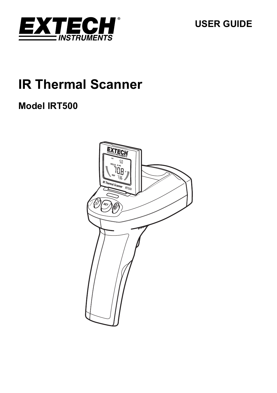

**USER GUIDE** 

# **IR Thermal Scanner**

## **Model IRT500**

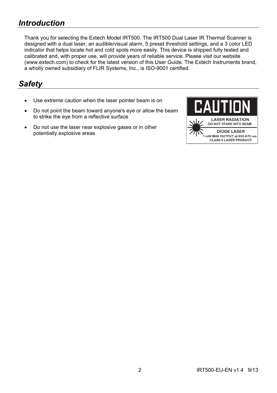## *Introduction*

Thank you for selecting the Extech Model IRT500. The IRT500 Dual Laser IR Thermal Scanner is designed with a dual laser, an audible/visual alarm, 5 preset threshold settings, and a 3 color LED indicator that helps locate hot and cold spots more easily. This device is shipped fully tested and calibrated and, with proper use, will provide years of reliable service. Please visit our website (www.extech.com) to check for the latest version of this User Guide. The Extech Instruments brand, a wholly owned subsidiary of FLIR Systems, Inc., is ISO-9001 certified.

### *Safety*

- Use extreme caution when the laser pointer beam is on
- Do not point the beam toward anyone's eye or allow the beam to strike the eye from a reflective surface
- Do not use the laser near explosive gases or in other potentially explosive areas

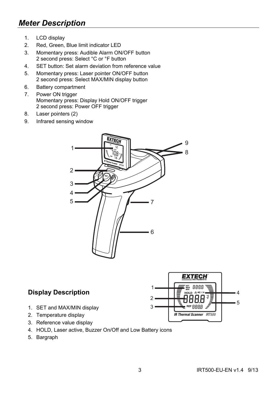## *Meter Description*

- 1. LCD display
- 2. Red, Green, Blue limit indicator LED
- 3. Momentary press: Audible Alarm ON/OFF button 2 second press: Select °C or °F button
- 4. SET button: Set alarm deviation from reference value
- 5. Momentary press: Laser pointer ON/OFF button 2 second press: Select MAX/MIN display button
- 6. Battery compartment
- 7. Power ON trigger Momentary press: Display Hold ON/OFF trigger 2 second press: Power OFF trigger
- 8. Laser pointers (2)
- 9. Infrared sensing window



#### **Display Description**

- 1. SET and MAX/MIN display
- 2. Temperature display
- 3. Reference value display
- 4. HOLD, Laser active, Buzzer On/Off and Low Battery icons
- 5. Bargraph

4 5

**EXTECH** 熙 日日日日 HOLD  $\triangle$  <sup>48</sup> H Я AAAA **IR Thermal Scanner IRT500**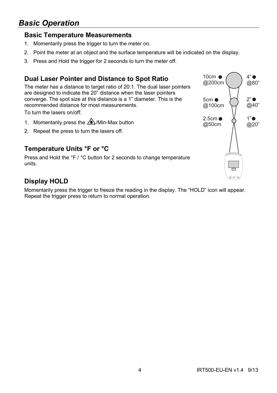## *Basic Operation*

#### **Basic Temperature Measurements**

- 1. Momentarily press the trigger to turn the meter on.
- 2. Point the meter at an object and the surface temperature will be indicated on the display.
- 3. Press and Hold the trigger for 2 seconds to turn the meter off.

#### **Dual Laser Pointer and Distance to Spot Ratio**

The meter has a distance to target ratio of 20:1. The dual laser pointers are designed to indicate the 20" distance when the laser pointers converge. The spot size at this distance is a 1" diameter. This is the recommended distance for most measurements.

To turn the lasers on/off:

- 1. Momentarily press the  $\triangle$ /Min-Max button
- 2. Repeat the press to turn the lasers off.

#### **Temperature Units °F or °C**

Press and Hold the °F / °C button for 2 seconds to change temperature units.

#### **Display HOLD**

Momentarily press the trigger to freeze the reading in the display. The "HOLD" icon will appear. Repeat the trigger press to return to normal operation.

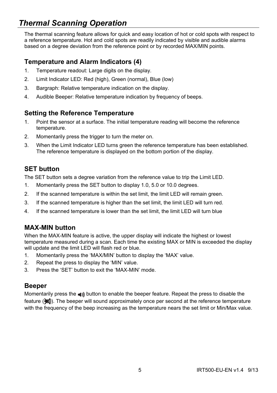## *Thermal Scanning Operation*

The thermal scanning feature allows for quick and easy location of hot or cold spots with respect to a reference temperature. Hot and cold spots are readily indicated by visible and audible alarms based on a degree deviation from the reference point or by recorded MAX/MIN points.

#### **Temperature and Alarm Indicators (4)**

- 1. Temperature readout: Large digits on the display.
- 2. Limit Indicator LED: Red (high), Green (normal), Blue (low)
- 3. Bargraph: Relative temperature indication on the display.
- 4. Audible Beeper: Relative temperature indication by frequency of beeps.

#### **Setting the Reference Temperature**

- 1. Point the sensor at a surface. The initial temperature reading will become the reference temperature.
- 2. Momentarily press the trigger to turn the meter on.
- 3. When the Limit Indicator LED turns green the reference temperature has been established. The reference temperature is displayed on the bottom portion of the display.

#### **SET button**

The SET button sets a degree variation from the reference value to trip the Limit LED.

- 1. Momentarily press the SET button to display 1.0, 5.0 or 10.0 degrees.
- 2. If the scanned temperature is within the set limit, the limit LED will remain green.
- 3. If the scanned temperature is higher than the set limit, the limit LED will turn red.
- 4. If the scanned temperature is lower than the set limit, the limit LED will turn blue

#### **MAX-MIN button**

When the MAX-MIN feature is active, the upper display will indicate the highest or lowest temperature measured during a scan. Each time the existing MAX or MIN is exceeded the display will update and the limit LED will flash red or blue.

- 1. Momentarily press the 'MAX/MIN' button to display the 'MAX' value.
- 2. Repeat the press to display the 'MIN' value.
- 3. Press the 'SET' button to exit the 'MAX-MIN' mode.

#### **Beeper**

Momentarily press the  $\triangleleft$ <sub>b</sub>) button to enable the beeper feature. Repeat the press to disable the feature ( $\langle \langle \rangle$ ). The beeper will sound approximately once per second at the reference temperature with the frequency of the beep increasing as the temperature nears the set limit or Min/Max value.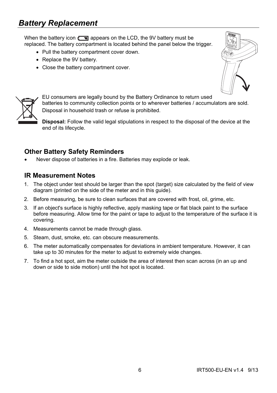## *Battery Replacement*

When the battery icon  $\sqrt{2}$  appears on the LCD, the 9V battery must be replaced. The battery compartment is located behind the panel below the trigger.

- Pull the battery compartment cover down.
- Replace the 9V battery.
- Close the battery compartment cover.





EU consumers are legally bound by the Battery Ordinance to return used batteries to community collection points or to wherever batteries / accumulators are sold. Disposal in household trash or refuse is prohibited.

**Disposal:** Follow the valid legal stipulations in respect to the disposal of the device at the end of its lifecycle.

#### **Other Battery Safety Reminders**

Never dispose of batteries in a fire. Batteries may explode or leak.

#### **IR Measurement Notes**

- 1. The object under test should be larger than the spot (target) size calculated by the field of view diagram (printed on the side of the meter and in this guide).
- 2. Before measuring, be sure to clean surfaces that are covered with frost, oil, grime, etc.
- 3. If an object's surface is highly reflective, apply masking tape or flat black paint to the surface before measuring. Allow time for the paint or tape to adjust to the temperature of the surface it is covering.
- 4. Measurements cannot be made through glass.
- 5. Steam, dust, smoke, etc. can obscure measurements.
- 6. The meter automatically compensates for deviations in ambient temperature. However, it can take up to 30 minutes for the meter to adjust to extremely wide changes.
- 7. To find a hot spot, aim the meter outside the area of interest then scan across (in an up and down or side to side motion) until the hot spot is located.